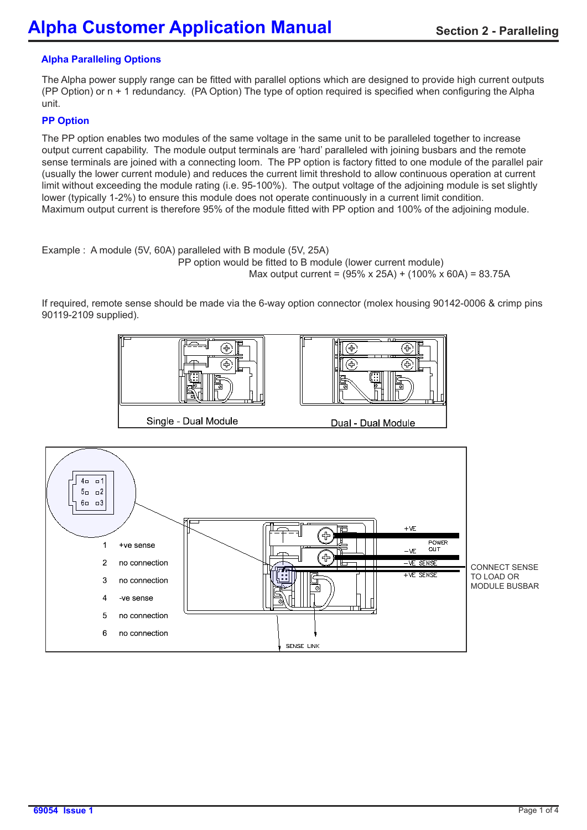# **Alpha Paralleling Options**

The Alpha power supply range can be fitted with parallel options which are designed to provide high current outputs (PP Option) or n + 1 redundancy. (PA Option) The type of option required is specified when configuring the Alpha unit.

## **PP Option**

The PP option enables two modules of the same voltage in the same unit to be paralleled together to increase output current capability. The module output terminals are 'hard' paralleled with joining busbars and the remote sense terminals are joined with a connecting loom. The PP option is factory fitted to one module of the parallel pair (usually the lower current module) and reduces the current limit threshold to allow continuous operation at current limit without exceeding the module rating (i.e. 95-100%). The output voltage of the adjoining module is set slightly lower (typically 1-2%) to ensure this module does not operate continuously in a current limit condition. Maximum output current is therefore 95% of the module fitted with PP option and 100% of the adjoining module.

Example : A module (5V, 60A) paralleled with B module (5V, 25A) PP option would be fitted to B module (lower current module)

Max output current = (95% x 25A) + (100% x 60A) = 83.75A

If required, remote sense should be made via the 6-way option connector (molex housing 90142-0006 & crimp pins 90119-2109 supplied).



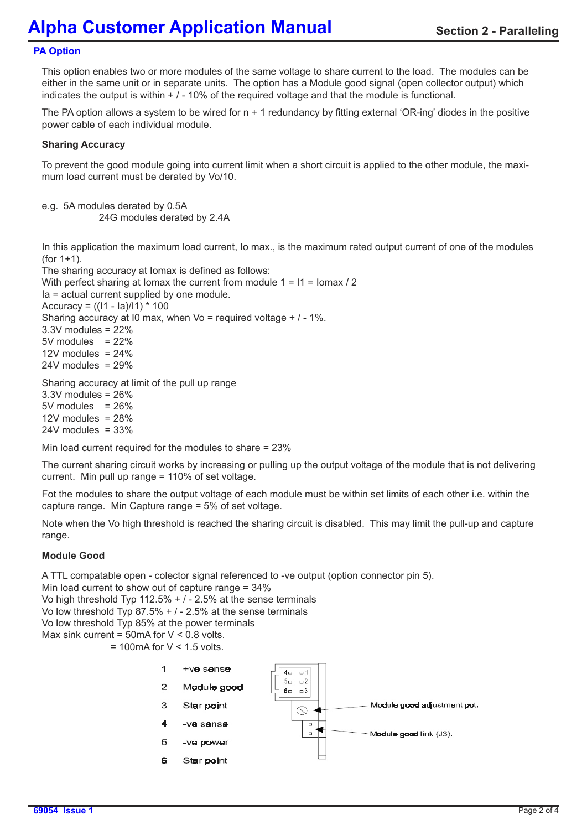# **PA Option**

This option enables two or more modules of the same voltage to share current to the load. The modules can be either in the same unit or in separate units. The option has a Module good signal (open collector output) which indicates the output is within  $+$  /  $-$  10% of the required voltage and that the module is functional.

The PA option allows a system to be wired for  $n + 1$  redundancy by fitting external 'OR-ing' diodes in the positive power cable of each individual module.

## **Sharing Accuracy**

To prevent the good module going into current limit when a short circuit is applied to the other module, the maximum load current must be derated by Vo/10.

e.g. 5A modules derated by 0.5A 24G modules derated by 2.4A

In this application the maximum load current, Io max., is the maximum rated output current of one of the modules (for 1+1).

The sharing accuracy at Iomax is defined as follows: With perfect sharing at Iomax the current from module  $1 = 11 =$  Iomax / 2 Ia = actual current supplied by one module. Accuracy = ((I1 - Ia)/I1) \* 100 Sharing accuracy at I0 max, when Vo = required voltage + / - 1%.  $3.3V$  modules =  $22\%$  $5V$  modules =  $22\%$ 12V modules =  $24%$  $24V$  modules =  $29%$ 

Sharing accuracy at limit of the pull up range

3.3V modules = 26%  $5V$  modules =  $26%$ 12V modules  $= 28%$  $24V$  modules =  $33%$ 

Min load current required for the modules to share = 23%

The current sharing circuit works by increasing or pulling up the output voltage of the module that is not delivering current. Min pull up range = 110% of set voltage.

Fot the modules to share the output voltage of each module must be within set limits of each other i.e. within the capture range. Min Capture range = 5% of set voltage.

Note when the Vo high threshold is reached the sharing circuit is disabled. This may limit the pull-up and capture range.

### **Module Good**

A TTL compatable open - colector signal referenced to -ve output (option connector pin 5).

Min load current to show out of capture range = 34%

Vo high threshold Typ 112.5%  $+$  / - 2.5% at the sense terminals

Vo low threshold Typ 87.5% + / - 2.5% at the sense terminals

Vo low threshold Typ 85% at the power terminals

Max sink current =  $50$ mA for V < 0.8 volts.

 $= 100$ mA for V < 1.5 volts.

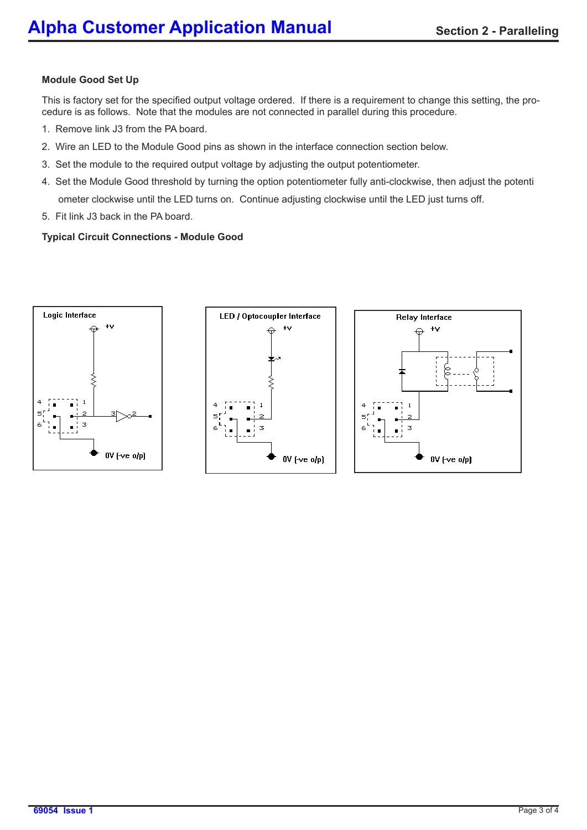## **Module Good Set Up**

This is factory set for the specified output voltage ordered. If there is a requirement to change this setting, the procedure is as follows. Note that the modules are not connected in parallel during this procedure.

- 1. Remove link J3 from the PA board.
- 2. Wire an LED to the Module Good pins as shown in the interface connection section below.
- 3. Set the module to the required output voltage by adjusting the output potentiometer.
- 4. Set the Module Good threshold by turning the option potentiometer fully anti-clockwise, then adjust the potenti ometer clockwise until the LED turns on. Continue adjusting clockwise until the LED just turns off.
- 5. Fit link J3 back in the PA board.

### **Typical Circuit Connections - Module Good**